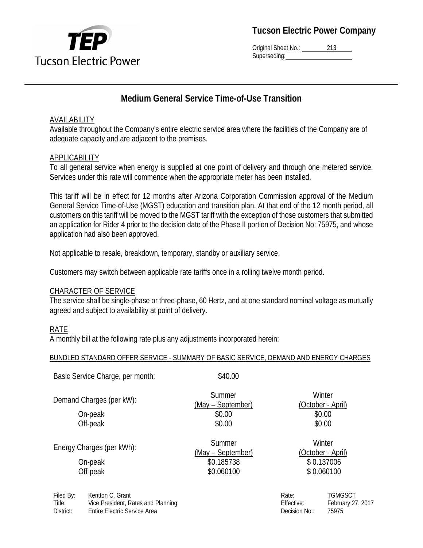

Original Sheet No.: 213 Superseding:

## **Medium General Service Time-of-Use Transition**

## AVAILABILITY

Available throughout the Company's entire electric service area where the facilities of the Company are of adequate capacity and are adjacent to the premises.

## APPLICABILITY

To all general service when energy is supplied at one point of delivery and through one metered service. Services under this rate will commence when the appropriate meter has been installed.

This tariff will be in effect for 12 months after Arizona Corporation Commission approval of the Medium General Service Time-of-Use (MGST) education and transition plan. At that end of the 12 month period, all customers on this tariff will be moved to the MGST tariff with the exception of those customers that submitted an application for Rider 4 prior to the decision date of the Phase II portion of Decision No: 75975, and whose application had also been approved.

Not applicable to resale, breakdown, temporary, standby or auxiliary service.

Customers may switch between applicable rate tariffs once in a rolling twelve month period.

#### CHARACTER OF SERVICE

The service shall be single-phase or three-phase, 60 Hertz, and at one standard nominal voltage as mutually agreed and subject to availability at point of delivery.

#### RATE

A monthly bill at the following rate plus any adjustments incorporated herein:

#### BUNDLED STANDARD OFFER SERVICE - SUMMARY OF BASIC SERVICE, DEMAND AND ENERGY CHARGES

| Basic Service Charge, per month: | \$40.00                     |                             |
|----------------------------------|-----------------------------|-----------------------------|
| Demand Charges (per kW):         | Summer<br>(May – September) | Winter<br>(October - April) |
| On-peak                          | \$0.00                      | \$0.00                      |
| Off-peak                         | \$0.00                      | \$0.00                      |
| Energy Charges (per kWh):        | Summer<br>(May – September) | Winter<br>(October - April) |
| On-peak                          | \$0.185738                  | \$0.137006                  |
| Off-peak                         | \$0.060100                  | \$0.060100                  |
|                                  |                             | TOMOCOT<br>$D - L$          |

Filed By: Kentton C. Grant Title: Vice President, Rates and Planning District: Entire Electric Service Area

| Rate:         | TGMGSCT           |
|---------------|-------------------|
| Effective:    | February 27, 2017 |
| Decision No.: | 75975             |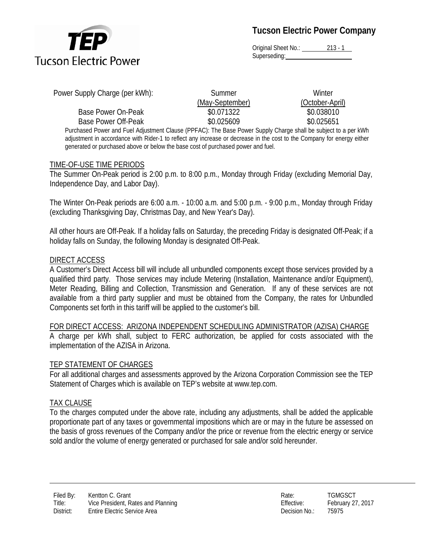

Original Sheet No.: 213 - 1 Superseding:

| Power Supply Charge (per kWh):                                                                                         | Summer          | Winter          |
|------------------------------------------------------------------------------------------------------------------------|-----------------|-----------------|
|                                                                                                                        | (May-September) | (October-April) |
| Base Power On-Peak                                                                                                     | \$0.071322      | \$0.038010      |
| Base Power Off-Peak                                                                                                    | \$0.025609      | \$0.025651      |
| Purchased Power and Fuel Adjustment Clause (PPFAC): The Base Power Supply Charge shall be subject to a per kWh         |                 |                 |
| adjustment in accordance with Rider-1 to reflect any increase or decrease in the cost to the Company for energy either |                 |                 |

generated or purchased above or below the base cost of purchased power and fuel.

#### TIME-OF-USE TIME PERIODS

The Summer On-Peak period is 2:00 p.m. to 8:00 p.m., Monday through Friday (excluding Memorial Day, Independence Day, and Labor Day).

The Winter On-Peak periods are 6:00 a.m. - 10:00 a.m. and 5:00 p.m. - 9:00 p.m., Monday through Friday (excluding Thanksgiving Day, Christmas Day, and New Year's Day).

All other hours are Off-Peak. If a holiday falls on Saturday, the preceding Friday is designated Off-Peak; if a holiday falls on Sunday, the following Monday is designated Off-Peak.

#### DIRECT ACCESS

A Customer's Direct Access bill will include all unbundled components except those services provided by a qualified third party. Those services may include Metering (Installation, Maintenance and/or Equipment), Meter Reading, Billing and Collection, Transmission and Generation. If any of these services are not available from a third party supplier and must be obtained from the Company, the rates for Unbundled Components set forth in this tariff will be applied to the customer's bill.

FOR DIRECT ACCESS: ARIZONA INDEPENDENT SCHEDULING ADMINISTRATOR (AZISA) CHARGE A charge per kWh shall, subject to FERC authorization, be applied for costs associated with the implementation of the AZISA in Arizona.

#### TEP STATEMENT OF CHARGES

For all additional charges and assessments approved by the Arizona Corporation Commission see the TEP Statement of Charges which is available on TEP's website at www.tep.com.

#### TAX CLAUSE

To the charges computed under the above rate, including any adjustments, shall be added the applicable proportionate part of any taxes or governmental impositions which are or may in the future be assessed on the basis of gross revenues of the Company and/or the price or revenue from the electric energy or service sold and/or the volume of energy generated or purchased for sale and/or sold hereunder.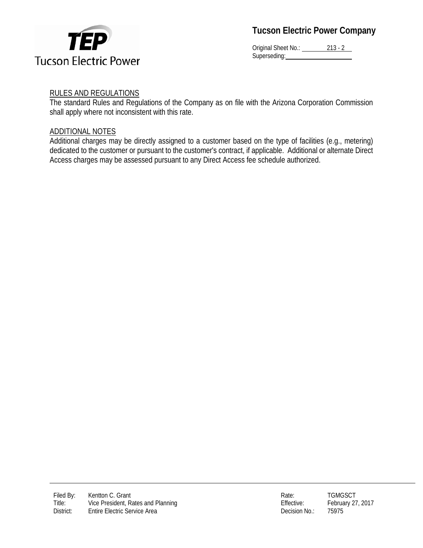

Original Sheet No.: 213 - 2 Superseding:

## RULES AND REGULATIONS

The standard Rules and Regulations of the Company as on file with the Arizona Corporation Commission shall apply where not inconsistent with this rate.

## ADDITIONAL NOTES

Additional charges may be directly assigned to a customer based on the type of facilities (e.g., metering) dedicated to the customer or pursuant to the customer's contract, if applicable. Additional or alternate Direct Access charges may be assessed pursuant to any Direct Access fee schedule authorized.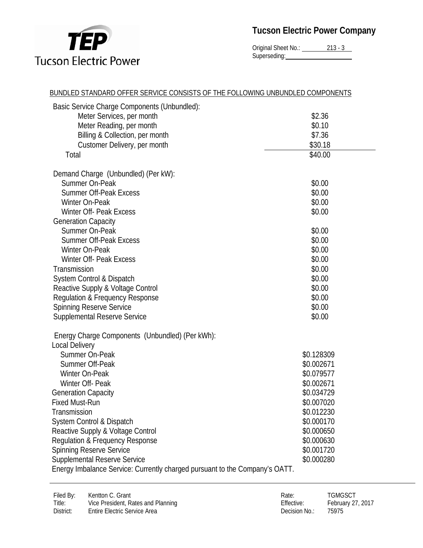

Original Sheet No.: 213 - 3 Superseding:

| BUNDLED STANDARD OFFER SERVICE CONSISTS OF THE FOLLOWING UNBUNDLED COMPONENTS |            |
|-------------------------------------------------------------------------------|------------|
| Basic Service Charge Components (Unbundled):                                  |            |
| Meter Services, per month                                                     | \$2.36     |
| Meter Reading, per month                                                      | \$0.10     |
| Billing & Collection, per month                                               | \$7.36     |
| Customer Delivery, per month                                                  | \$30.18    |
| Total                                                                         | \$40.00    |
| Demand Charge (Unbundled) (Per kW):                                           |            |
| Summer On-Peak                                                                | \$0.00     |
| <b>Summer Off-Peak Excess</b>                                                 | \$0.00     |
| Winter On-Peak                                                                | \$0.00     |
| <b>Winter Off- Peak Excess</b>                                                | \$0.00     |
| <b>Generation Capacity</b>                                                    |            |
| Summer On-Peak                                                                | \$0.00     |
| <b>Summer Off-Peak Excess</b>                                                 | \$0.00     |
| Winter On-Peak                                                                | \$0.00     |
| <b>Winter Off- Peak Excess</b>                                                | \$0.00     |
| Transmission                                                                  | \$0.00     |
| System Control & Dispatch                                                     | \$0.00     |
| Reactive Supply & Voltage Control                                             | \$0.00     |
| Regulation & Frequency Response                                               | \$0.00     |
| <b>Spinning Reserve Service</b>                                               | \$0.00     |
| <b>Supplemental Reserve Service</b>                                           | \$0.00     |
| Energy Charge Components (Unbundled) (Per kWh):                               |            |
| <b>Local Delivery</b>                                                         |            |
| Summer On-Peak                                                                | \$0.128309 |
| Summer Off-Peak                                                               | \$0.002671 |
| Winter On-Peak                                                                | \$0.079577 |
| Winter Off- Peak                                                              | \$0.002671 |
| <b>Generation Capacity</b>                                                    | \$0.034729 |
| <b>Fixed Must-Run</b>                                                         | \$0.007020 |
| Transmission                                                                  | \$0.012230 |
| System Control & Dispatch                                                     | \$0.000170 |
| Reactive Supply & Voltage Control                                             | \$0.000650 |
| Regulation & Frequency Response                                               | \$0.000630 |
| <b>Spinning Reserve Service</b>                                               | \$0.001720 |
| <b>Supplemental Reserve Service</b>                                           | \$0.000280 |
| Energy Imbalance Service: Currently charged pursuant to the Company's OATT.   |            |

| Rate:         | <b>TGMGSCT</b>    |
|---------------|-------------------|
| Effective:    | February 27, 2017 |
| Decision No.: | 75975             |